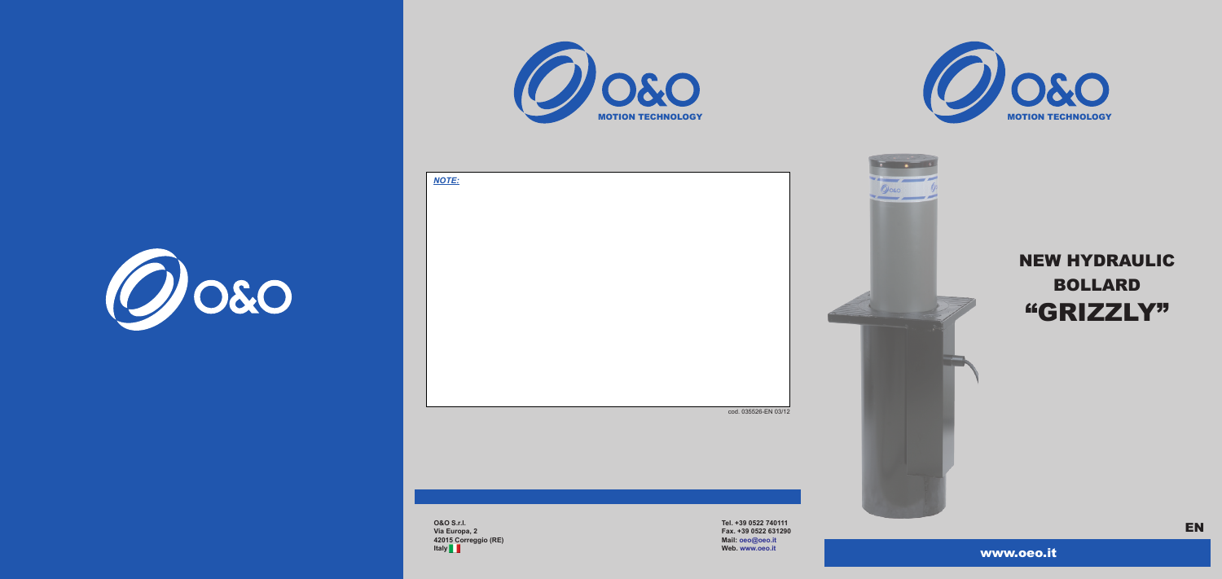www.oeo.it





**O&O S.r.l. Via Europa, 2 42015 Correggio (RE) Italy**

**Tel. +39 0522 740111 Fax. +39 0522 631290 Mail: oeo@oeo.it Web. www.oeo.it** 

*NOTE:*





# NEW HYDRAULIC BOLLARD "GRIZZLY"

EN

cod. 035526-EN 03/12